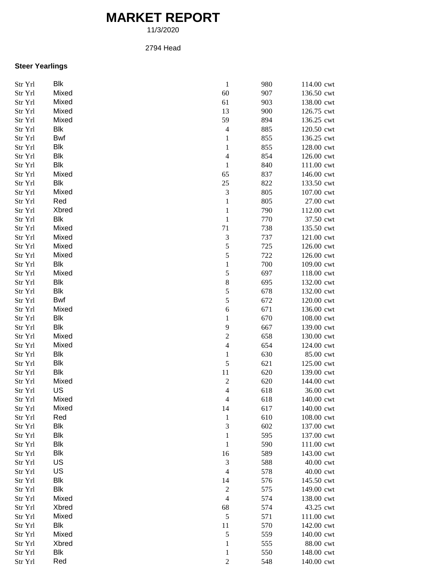# **MARKET REPORT**

11/3/2020

### 2794 Head

## **Steer Yearlings**

| Str Yrl | <b>Blk</b> | $\,1$                    | 980 | 114.00 cwt |
|---------|------------|--------------------------|-----|------------|
| Str Yrl | Mixed      | 60                       | 907 | 136.50 cwt |
| Str Yrl | Mixed      | 61                       | 903 | 138.00 cwt |
| Str Yrl | Mixed      | 13                       | 900 | 126.75 cwt |
| Str Yrl | Mixed      | 59                       | 894 | 136.25 cwt |
| Str Yrl | <b>Blk</b> | $\overline{4}$           | 885 | 120.50 cwt |
| Str Yrl | Bwf        | $\mathbf{1}$             | 855 | 136.25 cwt |
| Str Yrl | <b>Blk</b> | $\mathbf{1}$             | 855 | 128.00 cwt |
| Str Yrl | <b>Blk</b> | $\overline{4}$           | 854 | 126.00 cwt |
| Str Yrl | <b>Blk</b> | $\mathbf{1}$             | 840 | 111.00 cwt |
| Str Yrl | Mixed      | 65                       | 837 | 146.00 cwt |
| Str Yrl | Blk        | 25                       | 822 | 133.50 cwt |
| Str Yrl | Mixed      | $\mathfrak{Z}$           | 805 | 107.00 cwt |
| Str Yrl | Red        | $\mathbf{1}$             | 805 | 27.00 cwt  |
| Str Yrl | Xbred      | $\mathbf{1}$             | 790 | 112.00 cwt |
| Str Yrl | Blk        | $\,1$                    | 770 | 37.50 cwt  |
| Str Yrl | Mixed      | 71                       | 738 | 135.50 cwt |
| Str Yrl | Mixed      | 3                        | 737 | 121.00 cwt |
| Str Yrl | Mixed      | 5                        | 725 | 126.00 cwt |
| Str Yrl | Mixed      | 5                        | 722 | 126.00 cwt |
| Str Yrl | <b>Blk</b> | $\mathbf{1}$             | 700 | 109.00 cwt |
| Str Yrl | Mixed      | 5                        | 697 | 118.00 cwt |
| Str Yrl | <b>Blk</b> | $\,$ 8 $\,$              | 695 | 132.00 cwt |
| Str Yrl | Blk        | 5                        | 678 | 132.00 cwt |
| Str Yrl | <b>Bwf</b> | 5                        | 672 | 120.00 cwt |
| Str Yrl | Mixed      | 6                        | 671 | 136.00 cwt |
| Str Yrl | <b>Blk</b> | $\mathbf{1}$             | 670 | 108.00 cwt |
| Str Yrl | Blk        | 9                        | 667 | 139.00 cwt |
| Str Yrl | Mixed      | $\overline{c}$           | 658 | 130.00 cwt |
| Str Yrl | Mixed      | $\overline{4}$           | 654 | 124.00 cwt |
| Str Yrl | <b>Blk</b> | $\mathbf{1}$             | 630 | 85.00 cwt  |
| Str Yrl | <b>Blk</b> | 5                        | 621 | 125.00 cwt |
| Str Yrl | <b>Blk</b> | $11\,$                   | 620 | 139.00 cwt |
| Str Yrl | Mixed      | $\overline{c}$           | 620 | 144.00 cwt |
| Str Yrl | US         | $\overline{\mathcal{L}}$ | 618 | 36.00 cwt  |
| Str Yrl | Mixed      | $\overline{\mathcal{L}}$ | 618 | 140.00 cwt |
| Str Yrl | Mixed      | 14                       | 617 | 140.00 cwt |
| Str Yrl | Red        | $\mathbf{1}$             | 610 | 108.00 cwt |
| Str Yrl | <b>Blk</b> | $\sqrt{3}$               | 602 | 137.00 cwt |
| Str Yrl | <b>Blk</b> | $\mathbf{1}$             | 595 | 137.00 cwt |
| Str Yrl | <b>Blk</b> | $\mathbf{1}$             | 590 | 111.00 cwt |
| Str Yrl | <b>Blk</b> | 16                       | 589 | 143.00 cwt |
| Str Yrl | US         | 3                        | 588 | 40.00 cwt  |
| Str Yrl | US         | $\overline{4}$           | 578 | 40.00 cwt  |
| Str Yrl | <b>Blk</b> | 14                       | 576 | 145.50 cwt |
| Str Yrl | <b>Blk</b> | $\boldsymbol{2}$         | 575 | 149.00 cwt |
| Str Yrl | Mixed      | $\overline{4}$           | 574 | 138.00 cwt |
| Str Yrl | Xbred      | 68                       | 574 | 43.25 cwt  |
| Str Yrl | Mixed      | $\sqrt{5}$               | 571 | 111.00 cwt |
| Str Yrl | Blk        | 11                       | 570 | 142.00 cwt |
| Str Yrl | Mixed      | 5                        | 559 | 140.00 cwt |
| Str Yrl | Xbred      | $\mathbf{1}$             | 555 | 88.00 cwt  |
| Str Yrl | <b>Blk</b> | $\mathbf{1}$             | 550 | 148.00 cwt |
| Str Yrl | Red        | $\overline{2}$           | 548 | 140.00 cwt |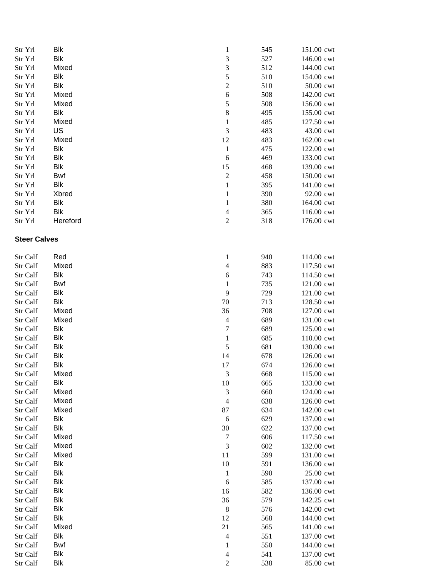| Str Yrl             | Blk                      | $\mathbf{1}$                | 545 | 151.00 cwt               |
|---------------------|--------------------------|-----------------------------|-----|--------------------------|
| Str Yrl             | <b>Blk</b>               | $\mathfrak{Z}$              | 527 | 146.00 cwt               |
| Str Yrl             | Mixed                    | $\mathfrak{Z}$              | 512 | 144.00 cwt               |
| Str Yrl             | Blk                      | 5                           | 510 | 154.00 cwt               |
| Str Yrl             | <b>Blk</b>               | $\overline{c}$              | 510 | 50.00 cwt                |
| Str Yrl             | Mixed                    | 6                           | 508 | 142.00 cwt               |
| Str Yrl             | Mixed                    | 5                           | 508 | 156.00 cwt               |
| Str Yrl             | <b>Blk</b>               | $\,8\,$                     | 495 | 155.00 cwt               |
| Str Yrl             | Mixed                    | $\mathbf{1}$                | 485 | 127.50 cwt               |
| Str Yrl             | US                       | 3                           | 483 | 43.00 cwt                |
| Str Yrl             | Mixed                    | 12                          | 483 | 162.00 cwt               |
| Str Yrl             | <b>Blk</b>               | $\mathbf{1}$                | 475 | 122.00 cwt               |
| Str Yrl             | <b>Blk</b>               | 6                           | 469 | 133.00 cwt               |
| Str Yrl             | <b>Blk</b>               | 15                          | 468 | 139.00 cwt               |
| Str Yrl             | <b>Bwf</b>               | $\overline{c}$              | 458 | 150.00 cwt               |
| Str Yrl             | <b>Blk</b>               | $\mathbf 1$                 | 395 | 141.00 cwt               |
| Str Yrl             | Xbred                    | $\mathbf{1}$                | 390 | 92.00 cwt                |
| Str Yrl             | <b>Blk</b>               | $\mathbf 1$                 | 380 |                          |
|                     | <b>Blk</b>               |                             |     | 164.00 cwt<br>116.00 cwt |
| Str Yrl             | Hereford                 | $\overline{4}$              | 365 |                          |
| Str Yrl             |                          | $\mathfrak{2}$              | 318 | 176.00 cwt               |
| <b>Steer Calves</b> |                          |                             |     |                          |
| Str Calf            | Red                      | $\mathbf{1}$                | 940 | 114.00 cwt               |
| Str Calf            | Mixed                    | $\overline{\mathcal{L}}$    | 883 | 117.50 cwt               |
| Str Calf            | <b>Blk</b>               | 6                           | 743 | 114.50 cwt               |
| Str Calf            | Bwf                      | $\mathbf 1$                 | 735 | 121.00 cwt               |
| Str Calf            | <b>Blk</b>               | 9                           | 729 | 121.00 cwt               |
| Str Calf            | <b>Blk</b>               | $70\,$                      | 713 | 128.50 cwt               |
| Str Calf            | Mixed                    | 36                          | 708 | 127.00 cwt               |
| Str Calf            | Mixed                    | $\overline{4}$              | 689 | 131.00 cwt               |
| Str Calf            | <b>Blk</b>               | $\boldsymbol{7}$            | 689 | 125.00 cwt               |
| Str Calf            | <b>Blk</b>               | $\,1\,$                     | 685 | 110.00 cwt               |
| Str Calf            | Blk                      | 5                           | 681 | 130.00 cwt               |
| Str Calf            | Blk                      | 14                          | 678 | 126.00 cwt               |
| Str Calf            | Blk                      | 17                          | 674 | 126.00 cwt               |
| Str Calf            | Mixed                    | 3                           | 668 | 115.00 cwt               |
| Str Calf            | <b>Blk</b>               | 10                          | 665 | 133.00 cwt               |
| Str Calf            | Mixed                    | $\ensuremath{\mathfrak{Z}}$ | 660 | 124.00 cwt               |
| Str Calf            | Mixed                    | $\overline{4}$              | 638 | 126.00 cwt               |
| Str Calf            | Mixed                    | 87                          | 634 | 142.00 cwt               |
| Str Calf            | <b>Blk</b>               | 6                           | 629 | 137.00 cwt               |
| Str Calf            | <b>Blk</b>               | 30                          | 622 | 137.00 cwt               |
| Str Calf            | Mixed                    | $\tau$                      | 606 | 117.50 cwt               |
| Str Calf            | Mixed                    | $\ensuremath{\mathfrak{Z}}$ | 602 | 132.00 cwt               |
| Str Calf            | Mixed                    | 11                          | 599 | 131.00 cwt               |
|                     | <b>Blk</b>               | 10                          | 591 |                          |
| Str Calf            | <b>Blk</b>               |                             |     | 136.00 cwt               |
| Str Calf            | <b>Blk</b>               | $\mathbf{1}$                | 590 | 25.00 cwt                |
| Str Calf            |                          | 6                           | 585 | 137.00 cwt               |
| Str Calf            | <b>Blk</b><br><b>Blk</b> | 16                          | 582 | 136.00 cwt               |
| Str Calf            |                          | 36                          | 579 | 142.25 cwt               |
| Str Calf            | <b>Blk</b>               | $\,8\,$                     | 576 | 142.00 cwt               |
| Str Calf            | <b>Blk</b>               | 12                          | 568 | 144.00 cwt               |
| Str Calf            | Mixed                    | 21                          | 565 | 141.00 cwt               |
| Str Calf            | Blk                      | $\overline{4}$              | 551 | 137.00 cwt               |
| Str Calf            | Bwf                      | $\mathbf{1}$                | 550 | 144.00 cwt               |
| Str Calf            | <b>Blk</b>               | $\overline{\mathcal{A}}$    | 541 | 137.00 cwt               |
| Str Calf            | <b>Blk</b>               | $\mathfrak{2}$              | 538 | 85.00 cwt                |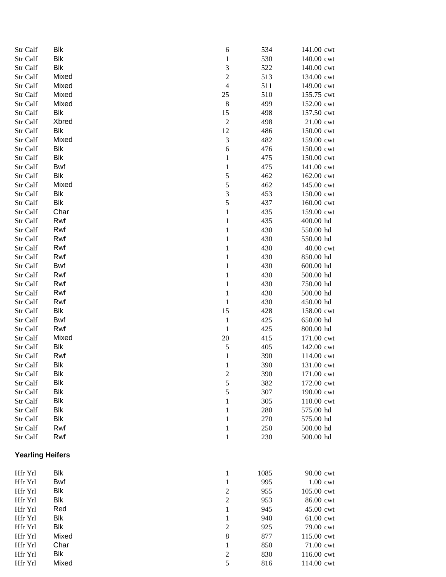| Str Calf                | Blk        | 6                        | 534  | 141.00 cwt |
|-------------------------|------------|--------------------------|------|------------|
| Str Calf                | <b>Blk</b> | $\,1$                    | 530  | 140.00 cwt |
| Str Calf                | <b>Blk</b> | 3                        | 522  | 140.00 cwt |
| Str Calf                | Mixed      | $\overline{c}$           | 513  | 134.00 cwt |
| Str Calf                | Mixed      | $\overline{\mathcal{L}}$ | 511  | 149.00 cwt |
| Str Calf                | Mixed      | 25                       | 510  | 155.75 cwt |
| Str Calf                | Mixed      | $\,$ 8 $\,$              | 499  | 152.00 cwt |
| Str Calf                | Blk        | 15                       | 498  | 157.50 cwt |
| Str Calf                | Xbred      | $\sqrt{2}$               | 498  | 21.00 cwt  |
| Str Calf                | Blk        | 12                       | 486  | 150.00 cwt |
| Str Calf                | Mixed      | $\mathfrak{Z}$           | 482  | 159.00 cwt |
| Str Calf                | Blk        | 6                        | 476  | 150.00 cwt |
| Str Calf                | Blk        | $\mathbf{1}$             | 475  | 150.00 cwt |
| Str Calf                | Bwf        | $\mathbf{1}$             | 475  | 141.00 cwt |
| Str Calf                | Blk        | 5                        | 462  | 162.00 cwt |
| Str Calf                | Mixed      | 5                        | 462  | 145.00 cwt |
| Str Calf                | Blk        | 3                        | 453  | 150.00 cwt |
| Str Calf                | Blk        | 5                        | 437  | 160.00 cwt |
| Str Calf                | Char       | $\,1$                    | 435  | 159.00 cwt |
| Str Calf                | Rwf        | $\mathbf 1$              | 435  | 400.00 hd  |
| Str Calf                | Rwf        | $\mathbf{1}$             | 430  | 550.00 hd  |
| Str Calf                | Rwf        | $\mathbf 1$              | 430  | 550.00 hd  |
| Str Calf                | Rwf        | $\mathbf{1}$             | 430  | 40.00 cwt  |
| Str Calf                | Rwf        | $\mathbf{1}$             | 430  | 850.00 hd  |
| Str Calf                | Bwf        | $\mathbf{1}$             | 430  | 600.00 hd  |
| Str Calf                | Rwf        | $\mathbf{1}$             | 430  | 500.00 hd  |
| Str Calf                | Rwf        | $\mathbf{1}$             | 430  | 750.00 hd  |
| Str Calf                | Rwf        | $\mathbf{1}$             | 430  | 500.00 hd  |
| Str Calf                | Rwf        | $\mathbf{1}$             | 430  | 450.00 hd  |
| Str Calf                | Blk        | 15                       | 428  | 158.00 cwt |
| Str Calf                | Bwf        | $\mathbf{1}$             | 425  | 650.00 hd  |
| Str Calf                | Rwf        | $\mathbf{1}$             | 425  | 800.00 hd  |
| Str Calf                | Mixed      | 20                       | 415  | 171.00 cwt |
| Str Calf                | Blk        | 5                        | 405  | 142.00 cwt |
| Str Calf                | Rwf        | $\mathbf 1$              | 390  | 114.00 cwt |
| Str Calf                | Blk        | $\mathbf{1}$             | 390  | 131.00 cwt |
| Str Calf                | <b>Blk</b> | $\overline{\mathbf{c}}$  | 390  | 171.00 cwt |
| Str Calf                | Blk        | 5                        | 382  | 172.00 cwt |
| Str Calf                | <b>Blk</b> | 5                        | 307  | 190.00 cwt |
| Str Calf                | Blk        | $\mathbf{1}$             | 305  | 110.00 cwt |
| Str Calf                | Blk        | $\mathbf 1$              | 280  | 575.00 hd  |
| Str Calf                | Blk        | $\mathbf{1}$             | 270  | 575.00 hd  |
| Str Calf                | Rwf        | $\mathbf{1}$             | 250  | 500.00 hd  |
| Str Calf                | Rwf        | $\mathbf 1$              | 230  | 500.00 hd  |
| <b>Yearling Heifers</b> |            |                          |      |            |
|                         |            |                          |      |            |
| Hfr Yrl                 | Blk        | $\mathbf{1}$             | 1085 | 90.00 cwt  |
| Hfr Yrl                 | Bwf        | $\mathbf 1$              | 995  | 1.00 cwt   |
| Hfr Yrl                 | Blk        | $\overline{c}$           | 955  | 105.00 cwt |
| Hfr Yrl                 | Blk        | $\overline{c}$           | 953  | 86.00 cwt  |
| Hfr Yrl                 | Red        | $\,1$                    | 945  | 45.00 cwt  |
| Hfr Yrl                 | Blk        | $\mathbf{1}$             | 940  | 61.00 cwt  |
| Hfr Yrl                 | <b>Blk</b> | $\overline{c}$           | 925  | 79.00 cwt  |
| Hfr Yrl                 | Mixed      | $\,$ 8 $\,$              | 877  | 115.00 cwt |
| Hfr Yrl                 | Char       | $\mathbf 1$              | 850  | 71.00 cwt  |
| Hfr Yrl                 | Blk        | $\overline{c}$           | 830  | 116.00 cwt |
| Hfr Yrl                 | Mixed      | 5                        | 816  | 114.00 cwt |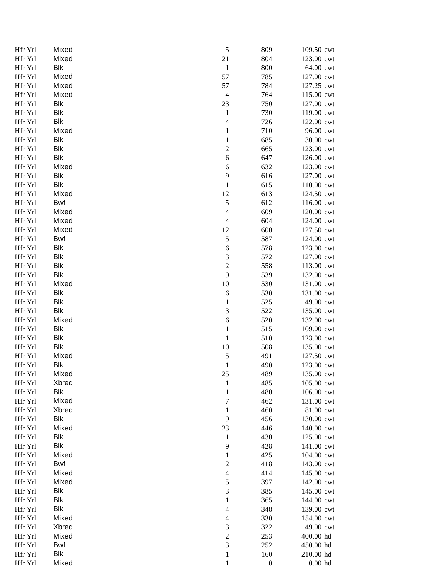| Hfr Yrl            | Mixed      | 5                | 809              | 109.50 cwt |
|--------------------|------------|------------------|------------------|------------|
| Hfr Yrl            | Mixed      | 21               | 804              | 123.00 cwt |
| Hfr Yrl            | Blk        | $\mathbf{1}$     | 800              | 64.00 cwt  |
| Hfr Yrl            | Mixed      | 57               | 785              | 127.00 cwt |
| Hfr Yrl            | Mixed      | 57               | 784              | 127.25 cwt |
| Hfr Yrl            | Mixed      | $\overline{4}$   | 764              | 115.00 cwt |
| Hfr Yrl            | Blk        | 23               | 750              | 127.00 cwt |
| Hfr Yrl            | Blk        | $\mathbf{1}$     | 730              | 119.00 cwt |
| Hfr Yrl            | Blk        | $\overline{4}$   | 726              | 122.00 cwt |
| Hfr Yrl            | Mixed      | $\mathbf{1}$     | 710              | 96.00 cwt  |
| Hfr Yrl            | Blk        | $\mathbf 1$      | 685              | 30.00 cwt  |
| Hfr Yrl            | Blk        | $\overline{c}$   | 665              | 123.00 cwt |
| Hfr Yrl            | Blk        | 6                | 647              | 126.00 cwt |
| Hfr Yrl            | Mixed      | 6                | 632              | 123.00 cwt |
| Hfr Yrl            | Blk        | 9                | 616              | 127.00 cwt |
| Hfr Yrl            | Blk        | $\,1$            | 615              | 110.00 cwt |
| Hfr Yrl            | Mixed      | 12               | 613              | 124.50 cwt |
| Hfr Yrl            | Bwf        | 5                | 612              | 116.00 cwt |
| Hfr Yrl            | Mixed      | $\overline{4}$   | 609              | 120.00 cwt |
| Hfr Yrl            | Mixed      | $\overline{4}$   | 604              | 124.00 cwt |
| Hfr Yrl            | Mixed      | 12               | 600              | 127.50 cwt |
| Hfr Yrl            | Bwf        | 5                | 587              | 124.00 cwt |
| Hfr Yrl            | Blk        | 6                | 578              | 123.00 cwt |
| Hfr Yrl            | Blk        | $\sqrt{3}$       | 572              | 127.00 cwt |
| Hfr Yrl            | Blk        | $\overline{c}$   | 558              | 113.00 cwt |
| Hfr Yrl            | Blk        | 9                | 539              | 132.00 cwt |
|                    | Mixed      | 10               | 530              |            |
| Hfr Yrl            | Blk        |                  |                  | 131.00 cwt |
| Hfr Yrl<br>Hfr Yrl |            | 6                | 530              | 131.00 cwt |
|                    | Blk        | $\mathbf{1}$     | 525              | 49.00 cwt  |
| Hfr Yrl            | Blk        | $\mathfrak{Z}$   | 522              | 135.00 cwt |
| Hfr Yrl            | Mixed      | 6                | 520              | 132.00 cwt |
| Hfr Yrl            | Blk        | $\mathbf 1$      | 515              | 109.00 cwt |
| Hfr Yrl            | Blk        | $\,1$            | 510              | 123.00 cwt |
| Hfr Yrl            | Blk        | 10               | 508              | 135.00 cwt |
| Hfr Yrl            | Mixed      | 5                | 491              | 127.50 cwt |
| Hfr Yrl            | Blk        | $\mathbf{1}$     | 490              | 123.00 cwt |
| Hfr Yrl            | Mixed      | 25               | 489              | 135.00 cwt |
| Hfr Yrl            | Xbred      | $\mathbf{1}$     | 485              | 105.00 cwt |
| Hfr Yrl            | Blk        | $\mathbf{1}$     | 480              | 106.00 cwt |
| Hfr Yrl            | Mixed      | $\boldsymbol{7}$ | 462              | 131.00 cwt |
| Hfr Yrl            | Xbred      | $\mathbf{1}$     | 460              | 81.00 cwt  |
| Hfr Yrl            | Blk        | 9                | 456              | 130.00 cwt |
| Hfr Yrl            | Mixed      | 23               | 446              | 140.00 cwt |
| Hfr Yrl            | Blk        | $\mathbf{1}$     | 430              | 125.00 cwt |
| Hfr Yrl            | <b>Blk</b> | 9                | 428              | 141.00 cwt |
| Hfr Yrl            | Mixed      | $\mathbf{1}$     | 425              | 104.00 cwt |
| Hfr Yrl            | Bwf        | $\overline{c}$   | 418              | 143.00 cwt |
| Hfr Yrl            | Mixed      | $\overline{4}$   | 414              | 145.00 cwt |
| Hfr Yrl            | Mixed      | 5                | 397              | 142.00 cwt |
| Hfr Yrl            | Blk        | 3                | 385              | 145.00 cwt |
| Hfr Yrl            | <b>Blk</b> | $\mathbf{1}$     | 365              | 144.00 cwt |
| Hfr Yrl            | <b>Blk</b> | $\overline{4}$   | 348              | 139.00 cwt |
| Hfr Yrl            | Mixed      | $\overline{4}$   | 330              | 154.00 cwt |
| Hfr Yrl            | Xbred      | 3                | 322              | 49.00 cwt  |
| Hfr Yrl            | Mixed      | $\overline{c}$   | 253              | 400.00 hd  |
| Hfr Yrl            | Bwf        | 3                | 252              | 450.00 hd  |
| Hfr Yrl            | Blk        | $\mathbf{1}$     | 160              | 210.00 hd  |
| Hfr Yrl            | Mixed      | $\,1\,$          | $\boldsymbol{0}$ | $0.00$ hd  |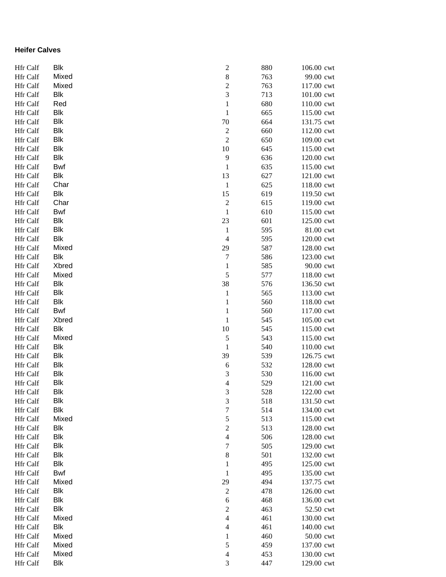### **Heifer Calves**

| <b>Hfr Calf</b> | <b>Blk</b> | $\overline{\mathbf{c}}$ | 880 | 106.00 cwt |
|-----------------|------------|-------------------------|-----|------------|
| <b>Hfr Calf</b> | Mixed      | $\,$ 8 $\,$             | 763 | 99.00 cwt  |
| <b>Hfr Calf</b> | Mixed      | $\overline{c}$          | 763 | 117.00 cwt |
| <b>Hfr Calf</b> | Blk        | $\mathfrak{Z}$          | 713 | 101.00 cwt |
| Hfr Calf        | Red        | $\mathbf{1}$            | 680 | 110.00 cwt |
| Hfr Calf        | Blk        | $\mathbf{1}$            | 665 | 115.00 cwt |
| Hfr Calf        | <b>Blk</b> | 70                      | 664 | 131.75 cwt |
| Hfr Calf        | <b>Blk</b> | $\overline{c}$          | 660 | 112.00 cwt |
| Hfr Calf        | <b>Blk</b> | $\overline{c}$          | 650 | 109.00 cwt |
| Hfr Calf        | <b>Blk</b> | 10                      | 645 | 115.00 cwt |
| Hfr Calf        | <b>Blk</b> | 9                       | 636 | 120.00 cwt |
| Hfr Calf        | Bwf        | $\,1$                   | 635 | 115.00 cwt |
| Hfr Calf        | <b>Blk</b> | 13                      | 627 | 121.00 cwt |
| Hfr Calf        | Char       | $\,1$                   | 625 | 118.00 cwt |
| Hfr Calf        | <b>Blk</b> | 15                      | 619 | 119.50 cwt |
| Hfr Calf        | Char       | $\overline{c}$          | 615 | 119.00 cwt |
| <b>Hfr</b> Calf | Bwf        | $\,1$                   | 610 | 115.00 cwt |
| <b>Hfr</b> Calf | <b>Blk</b> | 23                      | 601 | 125.00 cwt |
| <b>Hfr Calf</b> | <b>Blk</b> | $\mathbf{1}$            | 595 | 81.00 cwt  |
| Hfr Calf        | <b>Blk</b> | $\overline{4}$          | 595 | 120.00 cwt |
| Hfr Calf        | Mixed      | 29                      | 587 | 128.00 cwt |
| Hfr Calf        | <b>Blk</b> | $\tau$                  | 586 | 123.00 cwt |
| Hfr Calf        | Xbred      | $\mathbf{1}$            | 585 | 90.00 cwt  |
| Hfr Calf        | Mixed      | 5                       | 577 | 118.00 cwt |
| Hfr Calf        | <b>Blk</b> | 38                      | 576 | 136.50 cwt |
| Hfr Calf        | <b>Blk</b> | $\mathbf{1}$            | 565 | 113.00 cwt |
| Hfr Calf        | <b>Blk</b> | $\mathbf{1}$            | 560 | 118.00 cwt |
| Hfr Calf        | <b>Bwf</b> | $\,1$                   | 560 | 117.00 cwt |
| Hfr Calf        | Xbred      | $\,1$                   | 545 | 105.00 cwt |
| Hfr Calf        | <b>Blk</b> | 10                      | 545 | 115.00 cwt |
| Hfr Calf        | Mixed      | 5                       | 543 | 115.00 cwt |
| Hfr Calf        | <b>Blk</b> | $\,1$                   | 540 | 110.00 cwt |
| Hfr Calf        | <b>Blk</b> | 39                      | 539 | 126.75 cwt |
| Hfr Calf        | <b>Blk</b> | 6                       | 532 | 128.00 cwt |
| <b>Hfr Calf</b> | <b>Blk</b> | $\mathfrak{Z}$          | 530 | 116.00 cwt |
| Hfr Calf        | <b>Blk</b> | 4                       | 529 | 121.00 cwt |
| Hfr Calf        | Blk        | 3                       | 528 | 122.00 cwt |
| Hfr Calf        | <b>Blk</b> | $\mathfrak{Z}$          | 518 | 131.50 cwt |
| <b>Hfr Calf</b> | <b>Blk</b> | 7                       | 514 | 134.00 cwt |
| <b>Hfr Calf</b> | Mixed      | $\sqrt{5}$              | 513 | 115.00 cwt |
| <b>Hfr Calf</b> | Blk        | $\mathfrak{2}$          | 513 | 128.00 cwt |
| <b>Hfr Calf</b> | <b>Blk</b> | $\overline{4}$          | 506 | 128.00 cwt |
| <b>Hfr Calf</b> | Blk        | 7                       | 505 | 129.00 cwt |
| <b>Hfr Calf</b> | <b>Blk</b> | $\,8\,$                 | 501 | 132.00 cwt |
| <b>Hfr Calf</b> | Blk        | $\mathbf 1$             | 495 | 125.00 cwt |
| Hfr Calf        | <b>Bwf</b> | $\,1\,$                 | 495 | 135.00 cwt |
| Hfr Calf        | Mixed      | 29                      | 494 | 137.75 cwt |
| Hfr Calf        | Blk        | $\sqrt{2}$              | 478 | 126.00 cwt |
| Hfr Calf        | <b>Blk</b> | 6                       | 468 | 136.00 cwt |
| <b>Hfr Calf</b> | <b>Blk</b> | $\boldsymbol{2}$        | 463 | 52.50 cwt  |
| <b>Hfr Calf</b> | Mixed      | $\overline{4}$          | 461 | 130.00 cwt |
| <b>Hfr Calf</b> | <b>Blk</b> | $\overline{4}$          | 461 | 140.00 cwt |
| Hfr Calf        | Mixed      | 1                       | 460 | 50.00 cwt  |
| Hfr Calf        | Mixed      | $\mathfrak{S}$          | 459 | 137.00 cwt |
| Hfr Calf        | Mixed      | $\overline{4}$          | 453 | 130.00 cwt |
| Hfr Calf        | <b>Blk</b> | 3                       | 447 | 129.00 cwt |
|                 |            |                         |     |            |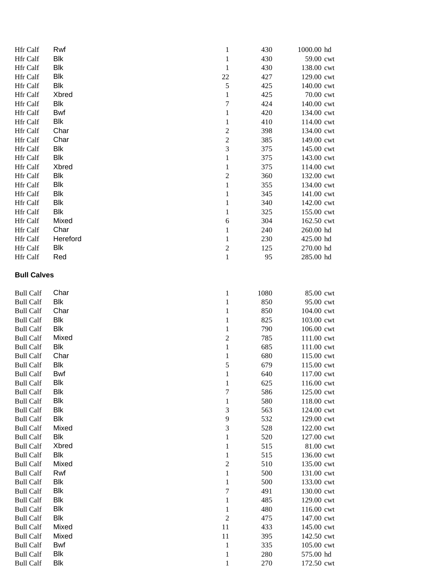| <b>Hfr</b> Calf    | Rwf        | $\mathbf{1}$     | 430  | 1000.00 hd |
|--------------------|------------|------------------|------|------------|
| Hfr Calf           | <b>Blk</b> | $\mathbf{1}$     | 430  | 59.00 cwt  |
| Hfr Calf           | <b>Blk</b> | $\mathbf{1}$     | 430  | 138.00 cwt |
| Hfr Calf           | <b>Blk</b> | $22\,$           | 427  | 129.00 cwt |
| Hfr Calf           | <b>Blk</b> | 5                | 425  | 140.00 cwt |
| Hfr Calf           | Xbred      | 1                | 425  | 70.00 cwt  |
| Hfr Calf           | <b>Blk</b> | $\boldsymbol{7}$ | 424  | 140.00 cwt |
| Hfr Calf           | <b>Bwf</b> | 1                | 420  | 134.00 cwt |
| Hfr Calf           | <b>Blk</b> | $\mathbf{1}$     | 410  | 114.00 cwt |
| Hfr Calf           | Char       | $\sqrt{2}$       | 398  | 134.00 cwt |
| Hfr Calf           | Char       | $\sqrt{2}$       | 385  | 149.00 cwt |
| Hfr Calf           | <b>Blk</b> | 3                | 375  | 145.00 cwt |
| Hfr Calf           | <b>Blk</b> | $\mathbf{1}$     | 375  | 143.00 cwt |
| Hfr Calf           | Xbred      | $\mathbf{1}$     | 375  | 114.00 cwt |
| Hfr Calf           | <b>Blk</b> | $\sqrt{2}$       | 360  | 132.00 cwt |
| Hfr Calf           | <b>Blk</b> | $\,1$            | 355  | 134.00 cwt |
| Hfr Calf           | <b>Blk</b> | $\mathbf{1}$     | 345  | 141.00 cwt |
| Hfr Calf           | <b>Blk</b> | $\mathbf{1}$     | 340  | 142.00 cwt |
| Hfr Calf           | <b>Blk</b> | $\mathbf{1}$     | 325  | 155.00 cwt |
| Hfr Calf           | Mixed      | $\sqrt{6}$       | 304  | 162.50 cwt |
| Hfr Calf           | Char       | 1                | 240  | 260.00 hd  |
| Hfr Calf           | Hereford   | 1                | 230  | 425.00 hd  |
| Hfr Calf           | <b>Blk</b> | $\boldsymbol{2}$ | 125  | 270.00 hd  |
| Hfr Calf           | Red        | $\mathbf{1}$     | 95   | 285.00 hd  |
| <b>Bull Calves</b> |            |                  |      |            |
| <b>Bull Calf</b>   | Char       | $\mathbf{1}$     | 1080 | 85.00 cwt  |
| <b>Bull Calf</b>   | <b>Blk</b> | $\mathbf{1}$     | 850  | 95.00 cwt  |
| <b>Bull Calf</b>   | Char       | $\mathbf{1}$     | 850  | 104.00 cwt |
| <b>Bull Calf</b>   | <b>Blk</b> | $\mathbf{1}$     | 825  | 103.00 cwt |
| <b>Bull Calf</b>   | <b>Blk</b> | $\mathbf{1}$     | 790  | 106.00 cwt |
| <b>Bull Calf</b>   | Mixed      | $\sqrt{2}$       | 785  | 111.00 cwt |
| <b>Bull Calf</b>   | <b>Blk</b> | $\mathbf{1}$     | 685  | 111.00 cwt |
| <b>Bull Calf</b>   | Char       | 1                | 680  | 115.00 cwt |
| <b>Bull Calf</b>   | <b>Blk</b> | 5                | 679  | 115.00 cwt |
| <b>Bull Calf</b>   | Bwf        | 1                | 640  | 117.00 cwt |
| <b>Bull Calf</b>   | <b>Blk</b> | $\mathbf{1}$     | 625  | 116.00 cwt |
| <b>Bull Calf</b>   | <b>Blk</b> | $\tau$           | 586  | 125.00 cwt |
| <b>Bull Calf</b>   | <b>Blk</b> | 1                | 580  | 118.00 cwt |
| <b>Bull Calf</b>   | <b>Blk</b> | 3                | 563  | 124.00 cwt |
| <b>Bull Calf</b>   | <b>Blk</b> | 9                | 532  | 129.00 cwt |
| <b>Bull Calf</b>   | Mixed      | 3                | 528  | 122.00 cwt |
| <b>Bull Calf</b>   | <b>Blk</b> | 1                | 520  | 127.00 cwt |
| <b>Bull Calf</b>   | Xbred      | $\mathbf{1}$     | 515  | 81.00 cwt  |
| <b>Bull Calf</b>   | <b>Blk</b> | $\mathbf{1}$     | 515  | 136.00 cwt |
| <b>Bull Calf</b>   | Mixed      | $\mathfrak{2}$   | 510  | 135.00 cwt |
| <b>Bull Calf</b>   | Rwf        | $\mathbf{1}$     | 500  | 131.00 cwt |
| <b>Bull Calf</b>   | <b>Blk</b> | $\mathbf{1}$     | 500  | 133.00 cwt |
| <b>Bull Calf</b>   | <b>Blk</b> | $\boldsymbol{7}$ | 491  | 130.00 cwt |
| <b>Bull Calf</b>   | <b>Blk</b> | 1                | 485  | 129.00 cwt |
| <b>Bull Calf</b>   | <b>Blk</b> | $\mathbf{1}$     | 480  | 116.00 cwt |
| <b>Bull Calf</b>   | <b>Blk</b> | $\sqrt{2}$       | 475  | 147.00 cwt |
| <b>Bull Calf</b>   | Mixed      | 11               | 433  | 145.00 cwt |
| <b>Bull Calf</b>   | Mixed      | 11               | 395  | 142.50 cwt |
| <b>Bull Calf</b>   | Bwf        | $\mathbf{1}$     | 335  | 105.00 cwt |
| <b>Bull Calf</b>   | <b>Blk</b> | $\mathbf{1}$     | 280  | 575.00 hd  |
| <b>Bull Calf</b>   | <b>Blk</b> | $\mathbf{1}$     | 270  | 172.50 cwt |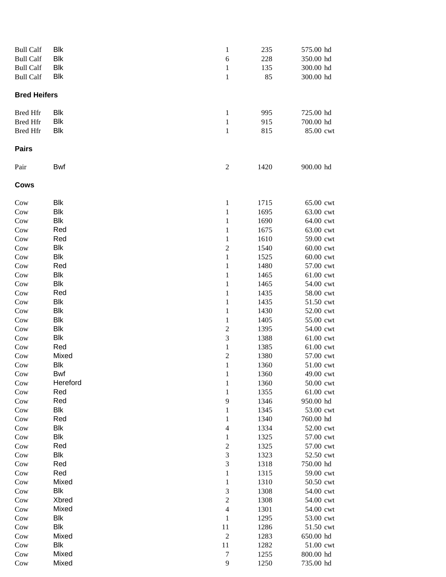| <b>Bull Calf</b>    | Blk          | $\mathbf{1}$                            | 235          | 575.00 hd              |
|---------------------|--------------|-----------------------------------------|--------------|------------------------|
| <b>Bull Calf</b>    | Blk          | $\sqrt{6}$                              | 228          | 350.00 hd              |
| <b>Bull Calf</b>    | Blk          | $\mathbf{1}$                            | 135          | 300.00 hd              |
| <b>Bull Calf</b>    | <b>Blk</b>   | $\mathbf{1}$                            | 85           | 300.00 hd              |
| <b>Bred Heifers</b> |              |                                         |              |                        |
| <b>Bred Hfr</b>     | Blk          | $\mathbf{1}$                            | 995          | 725.00 hd              |
| <b>Bred Hfr</b>     | Blk          | $\mathbf 1$                             | 915          | 700.00 hd              |
| <b>Bred Hfr</b>     | <b>Blk</b>   | $\,1$                                   | 815          | 85.00 cwt              |
| <b>Pairs</b>        |              |                                         |              |                        |
| Pair                | <b>Bwf</b>   | $\boldsymbol{2}$                        | 1420         | 900.00 hd              |
| <b>Cows</b>         |              |                                         |              |                        |
| Cow                 | Blk          | $\mathbf{1}$                            | 1715         | 65.00 cwt              |
| Cow                 | Blk          | $\mathbf{1}$                            | 1695         | 63.00 cwt              |
| Cow                 | Blk          | $\mathbf{1}$                            | 1690         | 64.00 cwt              |
| Cow                 | Red          | $\mathbf{1}$                            | 1675         | 63.00 cwt              |
| Cow                 | Red          | $\mathbf{1}$                            | 1610         | 59.00 cwt              |
| Cow                 | Blk          | $\overline{\mathbf{c}}$                 | 1540         | 60.00 cwt              |
| Cow                 | Blk          | $\,1\,$                                 | 1525         | 60.00 cwt              |
| Cow                 | Red          | $\mathbf{1}$                            | 1480         | 57.00 cwt              |
| Cow                 | Blk          | $\,1$                                   | 1465         | 61.00 cwt              |
| Cow                 | Blk          | $\,1$                                   | 1465         | 54.00 cwt              |
| Cow                 | Red          | $\,1$                                   | 1435         | 58.00 cwt              |
| Cow                 | Blk          | $\,1$                                   | 1435         | 51.50 cwt              |
| Cow                 | Blk          | $\mathbf{1}$                            | 1430         | 52.00 cwt              |
| Cow                 | Blk          | $\mathbf{1}$                            | 1405         | 55.00 cwt              |
| Cow                 | Blk          | $\overline{\mathbf{c}}$                 | 1395         | 54.00 cwt              |
| Cow                 | Blk          | 3                                       | 1388         | 61.00 cwt              |
| Cow                 | Red          | $\mathbf{1}$                            | 1385         | 61.00 cwt              |
| Cow                 | Mixed<br>Blk | $\overline{\mathbf{c}}$<br>$\mathbf{1}$ | 1380<br>1360 | 57.00 cwt<br>51.00 cwt |
| Cow<br>Cow          | Bwf          | $\mathbf{1}$                            | 1360         | 49.00 cwt              |
| Cow                 | Hereford     | $\mathbf{1}$                            | 1360         | 50.00 cwt              |
| Cow                 | Red          | $\mathbf 1$                             | 1355         | 61.00 cwt              |
| Cow                 | Red          | 9                                       | 1346         | 950.00 hd              |
| Cow                 | Blk          | $\mathbf{1}$                            | 1345         | 53.00 cwt              |
| Cow                 | Red          | $\mathbf 1$                             | 1340         | 760.00 hd              |
| Cow                 | Blk          | $\overline{4}$                          | 1334         | 52.00 cwt              |
| Cow                 | Blk          | $\,1$                                   | 1325         | 57.00 cwt              |
| Cow                 | Red          | $\sqrt{2}$                              | 1325         | 57.00 cwt              |
| Cow                 | Blk          | 3                                       | 1323         | 52.50 cwt              |
| Cow                 | Red          | 3                                       | 1318         | 750.00 hd              |
| Cow                 | Red          | $\,1$                                   | 1315         | 59.00 cwt              |
| Cow                 | Mixed        | $\mathbf{1}$                            | 1310         | 50.50 cwt              |
| Cow                 | Blk          | 3                                       | 1308         | 54.00 cwt              |
| Cow                 | Xbred        | $\overline{2}$                          | 1308         | 54.00 cwt              |
| Cow                 | Mixed        | $\overline{4}$                          | 1301         | 54.00 cwt              |
| Cow                 | Blk          | 1                                       | 1295         | 53.00 cwt              |
| Cow                 | Blk          | 11                                      | 1286         | 51.50 cwt              |
| Cow                 | Mixed        | $\sqrt{2}$                              | 1283         | 650.00 hd              |
| Cow                 | Blk          | 11                                      | 1282         | 51.00 cwt              |
| Cow                 | Mixed        | $\overline{7}$                          | 1255         | 800.00 hd              |
| Cow                 | Mixed        | $\mathbf{9}$                            | 1250         | 735.00 hd              |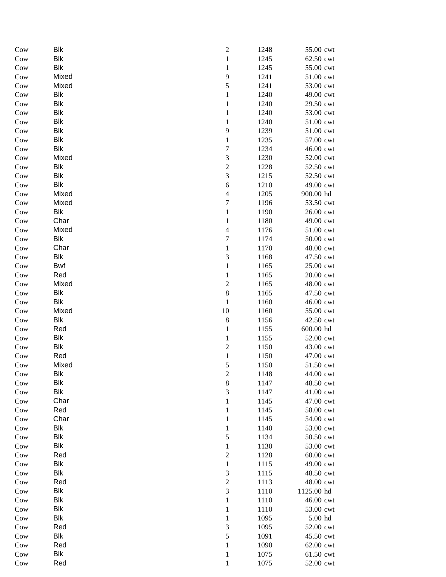| Cow | <b>Blk</b> | $\overline{c}$           | 1248 | 55.00 cwt  |
|-----|------------|--------------------------|------|------------|
| Cow | <b>Blk</b> | $\,1$                    | 1245 | 62.50 cwt  |
| Cow | <b>Blk</b> | $\,1$                    | 1245 | 55.00 cwt  |
| Cow | Mixed      | 9                        | 1241 | 51.00 cwt  |
| Cow | Mixed      | 5                        | 1241 | 53.00 cwt  |
| Cow | Blk        | $\,1$                    | 1240 | 49.00 cwt  |
| Cow | Blk        | $\,1$                    | 1240 | 29.50 cwt  |
| Cow | Blk        | $\,1$                    | 1240 | 53.00 cwt  |
| Cow | Blk        | $\,1$                    | 1240 | 51.00 cwt  |
| Cow | Blk        | 9                        | 1239 | 51.00 cwt  |
| Cow | Blk        | $\,1$                    | 1235 | 57.00 cwt  |
| Cow | Blk        | 7                        | 1234 | 46.00 cwt  |
| Cow | Mixed      | 3                        | 1230 | 52.00 cwt  |
| Cow | Blk        | $\overline{c}$           | 1228 | 52.50 cwt  |
| Cow | <b>Blk</b> | 3                        | 1215 | 52.50 cwt  |
| Cow | <b>Blk</b> | 6                        | 1210 | 49.00 cwt  |
| Cow | Mixed      | $\overline{4}$           | 1205 | 900.00 hd  |
| Cow | Mixed      | 7                        | 1196 | 53.50 cwt  |
| Cow | Blk        | $\mathbf{1}$             | 1190 | 26.00 cwt  |
| Cow | Char       | $\mathbf{1}$             | 1180 | 49.00 cwt  |
| Cow | Mixed      | $\overline{\mathcal{L}}$ | 1176 | 51.00 cwt  |
| Cow | Blk        | $\overline{7}$           | 1174 | 50.00 cwt  |
| Cow | Char       | $\mathbf{1}$             | 1170 | 48.00 cwt  |
| Cow | Blk        | 3                        | 1168 | 47.50 cwt  |
| Cow | <b>Bwf</b> | $\,1$                    | 1165 | 25.00 cwt  |
| Cow | Red        | $\,1$                    | 1165 | 20.00 cwt  |
| Cow | Mixed      | $\overline{c}$           | 1165 | 48.00 cwt  |
| Cow | Blk        | $\,8$                    | 1165 | 47.50 cwt  |
| Cow | Blk        | $\,1$                    | 1160 | 46.00 cwt  |
| Cow | Mixed      | 10                       | 1160 | 55.00 cwt  |
| Cow | Blk        | $\,8\,$                  | 1156 | 42.50 cwt  |
| Cow | Red        | $\,1$                    | 1155 | 600.00 hd  |
| Cow | <b>Blk</b> | $\,1$                    | 1155 | 52.00 cwt  |
| Cow | <b>Blk</b> | $\overline{\mathbf{c}}$  | 1150 | 43.00 cwt  |
| Cow | Red        | $\mathbf{1}$             | 1150 | 47.00 cwt  |
| Cow | Mixed      | 5                        | 1150 | 51.50 cwt  |
| Cow | Blk        | 2                        | 1148 | 44.00 cwt  |
| Cow | <b>Blk</b> | $\,8\,$                  | 1147 | 48.50 cwt  |
| Cow | <b>Blk</b> | 3                        | 1147 | 41.00 cwt  |
| Cow | Char       | $\mathbf{1}$             | 1145 | 47.00 cwt  |
| Cow | Red        | $\mathbf{1}$             | 1145 | 58.00 cwt  |
| Cow | Char       | $\mathbf{1}$             | 1145 | 54.00 cwt  |
| Cow | Blk        | $\mathbf{1}$             | 1140 | 53.00 cwt  |
| Cow | <b>Blk</b> | 5                        | 1134 | 50.50 cwt  |
| Cow | <b>Blk</b> | $\mathbf{1}$             | 1130 | 53.00 cwt  |
| Cow | Red        | $\overline{c}$           | 1128 | 60.00 cwt  |
| Cow | <b>Blk</b> | $\mathbf{1}$             | 1115 | 49.00 cwt  |
| Cow | <b>Blk</b> | 3                        | 1115 | 48.50 cwt  |
| Cow | Red        | $\overline{c}$           | 1113 | 48.00 cwt  |
| Cow | <b>Blk</b> | 3                        | 1110 | 1125.00 hd |
| Cow | <b>Blk</b> | $\,1$                    | 1110 | 46.00 cwt  |
| Cow | <b>Blk</b> | $\mathbf{1}$             | 1110 | 53.00 cwt  |
| Cow | <b>Blk</b> | $\mathbf{1}$             | 1095 | $5.00$ hd  |
| Cow | Red        | $\mathfrak 3$            | 1095 | 52.00 cwt  |
| Cow | Blk        | 5                        | 1091 | 45.50 cwt  |
| Cow | Red        | $\mathbf{1}$             | 1090 | 62.00 cwt  |
| Cow | Blk        | $\mathbf{1}$             | 1075 | 61.50 cwt  |
| Cow | Red        | $\,1$                    | 1075 | 52.00 cwt  |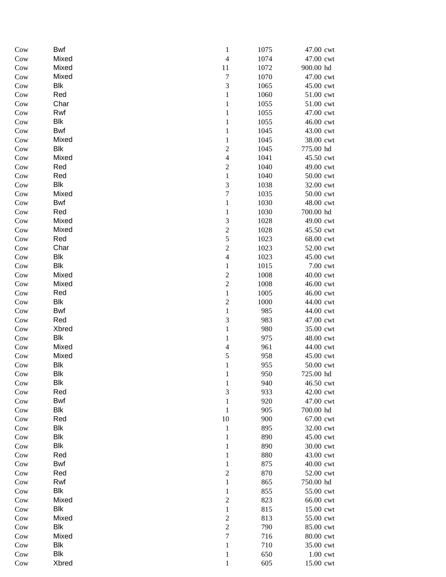| Cow | <b>Bwf</b> | $\mathbf{1}$             | 1075 | 47.00 cwt |
|-----|------------|--------------------------|------|-----------|
| Cow | Mixed      | $\overline{4}$           | 1074 | 47.00 cwt |
| Cow | Mixed      | 11                       | 1072 | 900.00 hd |
| Cow | Mixed      | $\sqrt{ }$               | 1070 | 47.00 cwt |
| Cow | Blk        | 3                        | 1065 | 45.00 cwt |
| Cow | Red        | $\mathbf{1}$             | 1060 | 51.00 cwt |
| Cow | Char       | $\,1$                    | 1055 | 51.00 cwt |
| Cow | Rwf        | $\,1$                    | 1055 | 47.00 cwt |
| Cow | Blk        | $\,1$                    | 1055 | 46.00 cwt |
| Cow | Bwf        | $\,1$                    | 1045 | 43.00 cwt |
| Cow | Mixed      | $\,1$                    | 1045 | 38.00 cwt |
| Cow | Blk        | $\overline{c}$           | 1045 | 775.00 hd |
| Cow | Mixed      | $\overline{4}$           | 1041 | 45.50 cwt |
| Cow | Red        | $\overline{c}$           | 1040 | 49.00 cwt |
| Cow | Red        | $\,1$                    | 1040 | 50.00 cwt |
| Cow | <b>Blk</b> | 3                        | 1038 | 32.00 cwt |
| Cow | Mixed      | $\overline{7}$           | 1035 | 50.00 cwt |
| Cow | <b>Bwf</b> | $\,1$                    | 1030 | 48.00 cwt |
| Cow | Red        | $\mathbf{1}$             | 1030 | 700.00 hd |
| Cow | Mixed      | 3                        | 1028 | 49.00 cwt |
| Cow | Mixed      | $\overline{c}$           | 1028 | 45.50 cwt |
| Cow | Red        | 5                        | 1023 | 68.00 cwt |
| Cow | Char       | $\overline{c}$           | 1023 | 52.00 cwt |
| Cow | Blk        | $\overline{\mathcal{L}}$ | 1023 | 45.00 cwt |
| Cow | <b>Blk</b> | $\mathbf{1}$             | 1015 | 7.00 cwt  |
| Cow | Mixed      | $\overline{c}$           | 1008 | 40.00 cwt |
| Cow | Mixed      | $\overline{c}$           | 1008 | 46.00 cwt |
| Cow | Red        | $\,1$                    | 1005 | 46.00 cwt |
| Cow | Blk        | $\overline{c}$           | 1000 | 44.00 cwt |
| Cow | Bwf        | $\mathbf{1}$             | 985  | 44.00 cwt |
| Cow | Red        | 3                        | 983  | 47.00 cwt |
| Cow | Xbred      | $\mathbf{1}$             | 980  | 35.00 cwt |
| Cow | Blk        | $\mathbf{1}$             | 975  | 48.00 cwt |
| Cow | Mixed      | $\overline{4}$           | 961  | 44.00 cwt |
| Cow | Mixed      | 5                        | 958  | 45.00 cwt |
| Cow | Blk        | $\mathbf{1}$             | 955  | 50.00 cwt |
| Cow | Blk        | 1                        | 950  | 725.00 hd |
| Cow | Blk        | $\mathbf{1}$             | 940  | 46.50 cwt |
| Cow | Red        | 3                        | 933  | 42.00 cwt |
| Cow | Bwf        | 1                        | 920  | 47.00 cwt |
| Cow | <b>Blk</b> | 1                        | 905  | 700.00 hd |
| Cow | Red        | $10\,$                   | 900  | 67.00 cwt |
| Cow | Blk        | $\mathbf{1}$             | 895  | 32.00 cwt |
| Cow | Blk        | $\mathbf{1}$             | 890  | 45.00 cwt |
| Cow | Blk        | $\mathbf{1}$             | 890  | 30.00 cwt |
| Cow | Red        | $\mathbf{1}$             | 880  | 43.00 cwt |
| Cow | Bwf        | $\mathbf{1}$             | 875  | 40.00 cwt |
| Cow | Red        | $\overline{2}$           | 870  | 52.00 cwt |
| Cow | Rwf        | $\mathbf{1}$             | 865  | 750.00 hd |
| Cow | <b>Blk</b> | $\mathbf{1}$             | 855  | 55.00 cwt |
| Cow | Mixed      | $\overline{c}$           | 823  | 66.00 cwt |
| Cow | <b>Blk</b> | $\mathbf{1}$             | 815  | 15.00 cwt |
| Cow | Mixed      | $\mathfrak{2}$           | 813  | 55.00 cwt |
| Cow | Blk        | $\sqrt{2}$               | 790  | 85.00 cwt |
| Cow | Mixed      | $\tau$                   | 716  | 80.00 cwt |
| Cow | Blk        | 1                        | 710  | 35.00 cwt |
| Cow | <b>Blk</b> | 1                        | 650  | 1.00 cwt  |
| Cow | Xbred      | $\mathbf{1}$             | 605  | 15.00 cwt |
|     |            |                          |      |           |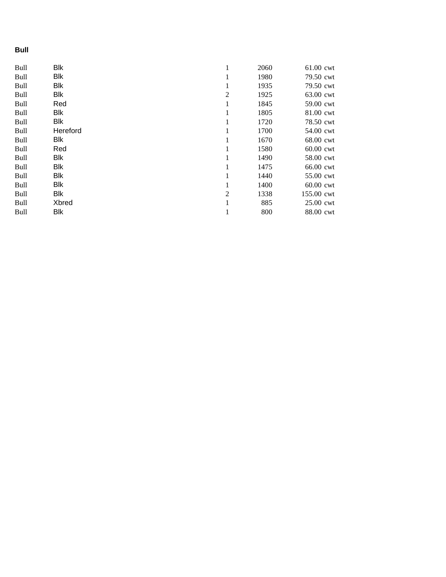## **Bull**

| <b>Bull</b> | <b>Blk</b> | 1              | 2060 | 61.00 cwt   |
|-------------|------------|----------------|------|-------------|
| <b>Bull</b> | <b>Blk</b> | 1              | 1980 | 79.50 cwt   |
| Bull        | <b>Blk</b> | 1              | 1935 | 79.50 cwt   |
| <b>Bull</b> | <b>Blk</b> | $\overline{2}$ | 1925 | 63.00 cwt   |
| <b>Bull</b> | Red        | 1              | 1845 | 59.00 cwt   |
| Bull        | <b>Blk</b> | 1              | 1805 | 81.00 cwt   |
| <b>Bull</b> | <b>Blk</b> | 1              | 1720 | 78.50 cwt   |
| <b>Bull</b> | Hereford   | 1              | 1700 | 54.00 cwt   |
| <b>Bull</b> | <b>Blk</b> | 1              | 1670 | 68.00 cwt   |
| <b>Bull</b> | Red        | 1              | 1580 | 60.00 cwt   |
| <b>Bull</b> | Blk        | 1              | 1490 | 58.00 cwt   |
| <b>Bull</b> | Blk        | 1              | 1475 | 66.00 cwt   |
| <b>Bull</b> | <b>Blk</b> | 1              | 1440 | 55.00 cwt   |
| <b>Bull</b> | <b>Blk</b> | 1              | 1400 | $60.00$ cwt |
| <b>Bull</b> | <b>Blk</b> | $\overline{2}$ | 1338 | 155.00 cwt  |
| <b>Bull</b> | Xbred      |                | 885  | 25.00 cwt   |
| <b>Bull</b> | <b>Blk</b> | 1              | 800  | 88.00 cwt   |